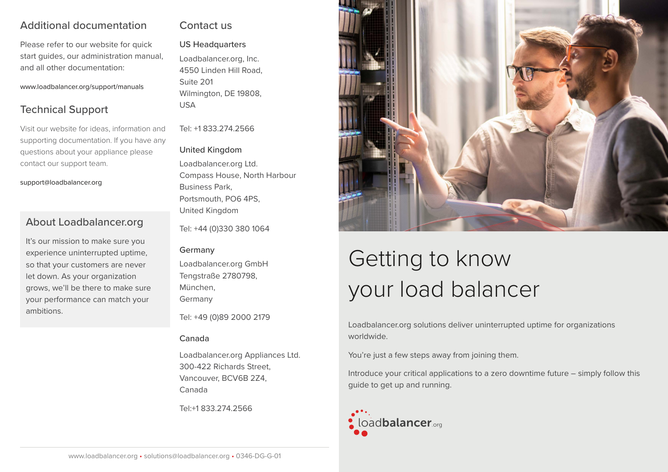## Additional documentation

Please refer to our website for quick start guides, our administration manual, and all other documentation:

www.loadbalancer.org/support/manuals

## Technical Support

Visit our website for ideas, information and supporting documentation. If you have any questions about your appliance please contact our support team.

support@loadbalancer.org

## About Loadbalancer.org

It's our mission to make sure you experience uninterrupted uptime, so that your customers are never let down. As your organization grows, we'll be there to make sure your performance can match your ambitions.

### Contact us

US Headquarters Loadbalancer.org, Inc. 4550 Linden Hill Road, Suite 201 Wilmington, DE 19808, USA

Tel: +1 833.274.2566

#### United Kingdom

Loadbalancer.org Ltd. Compass House, North Harbour Business Park, Portsmouth, PO6 4PS, United Kingdom

Tel: +44 (0)330 380 1064

#### Germany

Loadbalancer.org GmbH Tengstraße 2780798, München, Germany

Tel: +49 (0)89 2000 2179

#### Canada

Loadbalancer.org Appliances Ltd. 300-422 Richards Street, Vancouver, BCV6B 2Z4, Canada

Tel:+1 833.274.2566



# Getting to know your load balancer

Loadbalancer.org solutions deliver uninterrupted uptime for organizations worldwide.

You're just a few steps away from joining them.

Introduce your critical applications to a zero downtime future – simply follow this guide to get up and running.